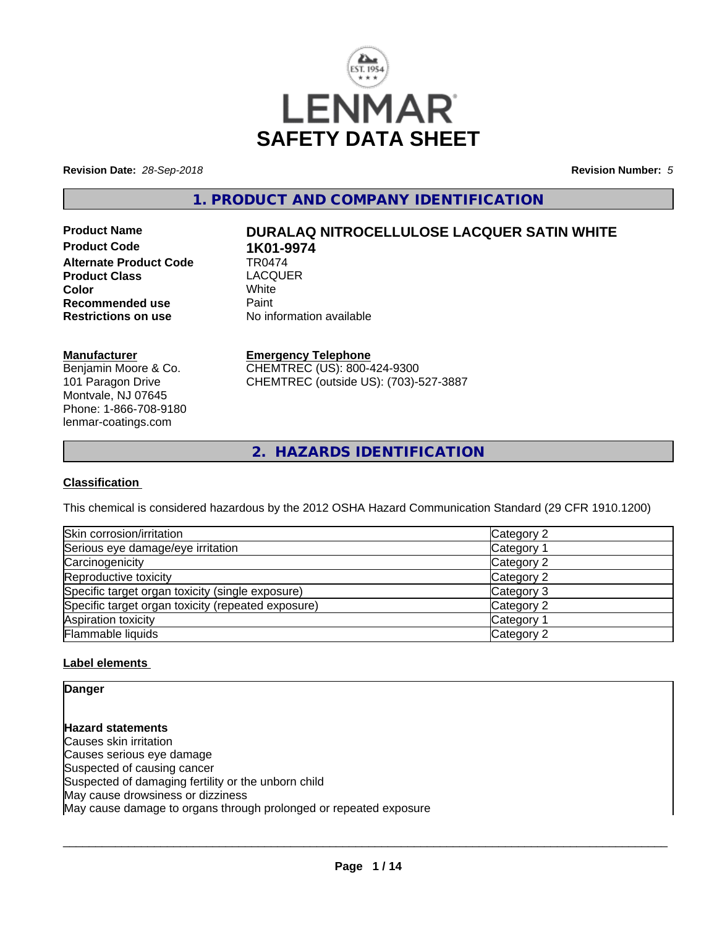

**Revision Date:** *28-Sep-2018* **Revision Number:** *5*

**1. PRODUCT AND COMPANY IDENTIFICATION**

**Product Code 1K01-9974**<br>Alternate Product Code 1R0474 **Alternate Product Code TR0474<br>Product Class LACOUER Product Class** LACQ<br> **Color** White **Color** White White **Recommended use Faint Paint Paint Restrictions on use Fig. 2016** 

# **Product Name DURALAQ NITROCELLULOSE LACQUER SATIN WHITE**

**No information available** 

#### **Manufacturer**

Benjamin Moore & Co. 101 Paragon Drive Montvale, NJ 07645 Phone: 1-866-708-9180 lenmar-coatings.com

### **Emergency Telephone**

CHEMTREC (US): 800-424-9300 CHEMTREC (outside US): (703)-527-3887

**2. HAZARDS IDENTIFICATION**

#### **Classification**

This chemical is considered hazardous by the 2012 OSHA Hazard Communication Standard (29 CFR 1910.1200)

| Skin corrosion/irritation                          | Category 2            |
|----------------------------------------------------|-----------------------|
| Serious eye damage/eye irritation                  | Category 1            |
| Carcinogenicity                                    | Category 2            |
| Reproductive toxicity                              | Category 2            |
| Specific target organ toxicity (single exposure)   | Category 3            |
| Specific target organ toxicity (repeated exposure) | Category 2            |
| Aspiration toxicity                                | Category <sup>2</sup> |
| Flammable liquids                                  | Category 2            |

#### **Label elements**

**Danger**

**Hazard statements** Causes skin irritation Causes serious eye damage Suspected of causing cancer Suspected of damaging fertility or the unborn child May cause drowsiness or dizziness May cause damage to organs through prolonged or repeated exposure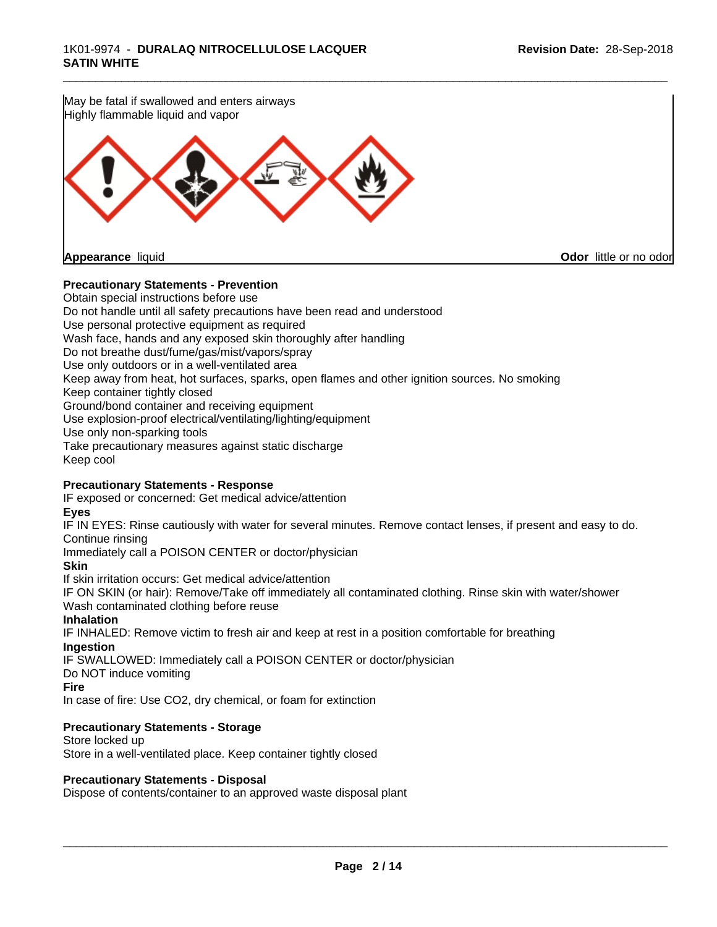

#### **Precautionary Statements - Prevention**

Obtain special instructions before use Do not handle until all safety precautions have been read and understood Use personal protective equipment as required Wash face, hands and any exposed skin thoroughly after handling Do not breathe dust/fume/gas/mist/vapors/spray Use only outdoors or in a well-ventilated area Keep away from heat, hot surfaces, sparks, open flames and other ignition sources. No smoking Keep container tightly closed Ground/bond container and receiving equipment Use explosion-proof electrical/ventilating/lighting/equipment Use only non-sparking tools Take precautionary measures against static discharge Keep cool

#### **Precautionary Statements - Response**

IF exposed or concerned: Get medical advice/attention

#### **Eyes**

IF IN EYES: Rinse cautiously with water for several minutes. Remove contact lenses, if present and easy to do. Continue rinsing

Immediately call a POISON CENTER or doctor/physician

#### **Skin**

If skin irritation occurs: Get medical advice/attention

IF ON SKIN (or hair): Remove/Take off immediately all contaminated clothing. Rinse skin with water/shower Wash contaminated clothing before reuse

#### **Inhalation**

IF INHALED: Remove victim to fresh air and keep at rest in a position comfortable for breathing **Ingestion**

IF SWALLOWED: Immediately call a POISON CENTER or doctor/physician

Do NOT induce vomiting

#### **Fire**

In case of fire: Use CO2, dry chemical, or foam for extinction

#### **Precautionary Statements - Storage**

Store locked up Store in a well-ventilated place. Keep container tightly closed

#### **Precautionary Statements - Disposal**

Dispose of contents/container to an approved waste disposal plant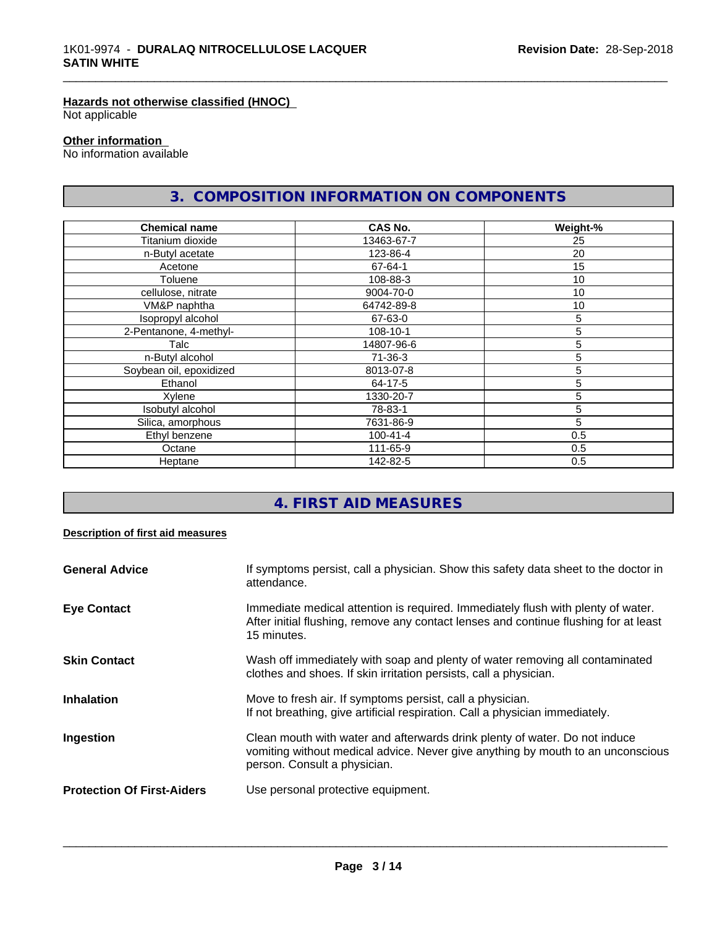# **Hazards not otherwise classified (HNOC)**

Not applicable

#### **Other information**

No information available

# **3. COMPOSITION INFORMATION ON COMPONENTS**

\_\_\_\_\_\_\_\_\_\_\_\_\_\_\_\_\_\_\_\_\_\_\_\_\_\_\_\_\_\_\_\_\_\_\_\_\_\_\_\_\_\_\_\_\_\_\_\_\_\_\_\_\_\_\_\_\_\_\_\_\_\_\_\_\_\_\_\_\_\_\_\_\_\_\_\_\_\_\_\_\_\_\_\_\_\_\_\_\_\_\_\_\_

| <b>Chemical name</b>    | <b>CAS No.</b> | Weight-% |
|-------------------------|----------------|----------|
| Titanium dioxide        | 13463-67-7     | 25       |
| n-Butyl acetate         | 123-86-4       | 20       |
| Acetone                 | 67-64-1        | 15       |
| Toluene                 | 108-88-3       | 10       |
| cellulose, nitrate      | 9004-70-0      | 10       |
| VM&P naphtha            | 64742-89-8     | 10       |
| Isopropyl alcohol       | 67-63-0        | 5        |
| 2-Pentanone, 4-methyl-  | 108-10-1       | 5        |
| Talc                    | 14807-96-6     | 5        |
| n-Butyl alcohol         | $71 - 36 - 3$  | 5        |
| Soybean oil, epoxidized | 8013-07-8      | 5        |
| Ethanol                 | 64-17-5        | 5        |
| Xylene                  | 1330-20-7      | 5        |
| Isobutyl alcohol        | 78-83-1        | 5        |
| Silica, amorphous       | 7631-86-9      | 5        |
| Ethyl benzene           | $100 - 41 - 4$ | 0.5      |
| Octane                  | 111-65-9       | 0.5      |
| Heptane                 | 142-82-5       | 0.5      |

# **4. FIRST AID MEASURES**

#### **Description of first aid measures**

| <b>General Advice</b>             | If symptoms persist, call a physician. Show this safety data sheet to the doctor in<br>attendance.                                                                                            |
|-----------------------------------|-----------------------------------------------------------------------------------------------------------------------------------------------------------------------------------------------|
| <b>Eye Contact</b>                | Immediate medical attention is required. Immediately flush with plenty of water.<br>After initial flushing, remove any contact lenses and continue flushing for at least<br>15 minutes.       |
| <b>Skin Contact</b>               | Wash off immediately with soap and plenty of water removing all contaminated<br>clothes and shoes. If skin irritation persists, call a physician.                                             |
| <b>Inhalation</b>                 | Move to fresh air. If symptoms persist, call a physician.<br>If not breathing, give artificial respiration. Call a physician immediately.                                                     |
| Ingestion                         | Clean mouth with water and afterwards drink plenty of water. Do not induce<br>vomiting without medical advice. Never give anything by mouth to an unconscious<br>person. Consult a physician. |
| <b>Protection Of First-Aiders</b> | Use personal protective equipment.                                                                                                                                                            |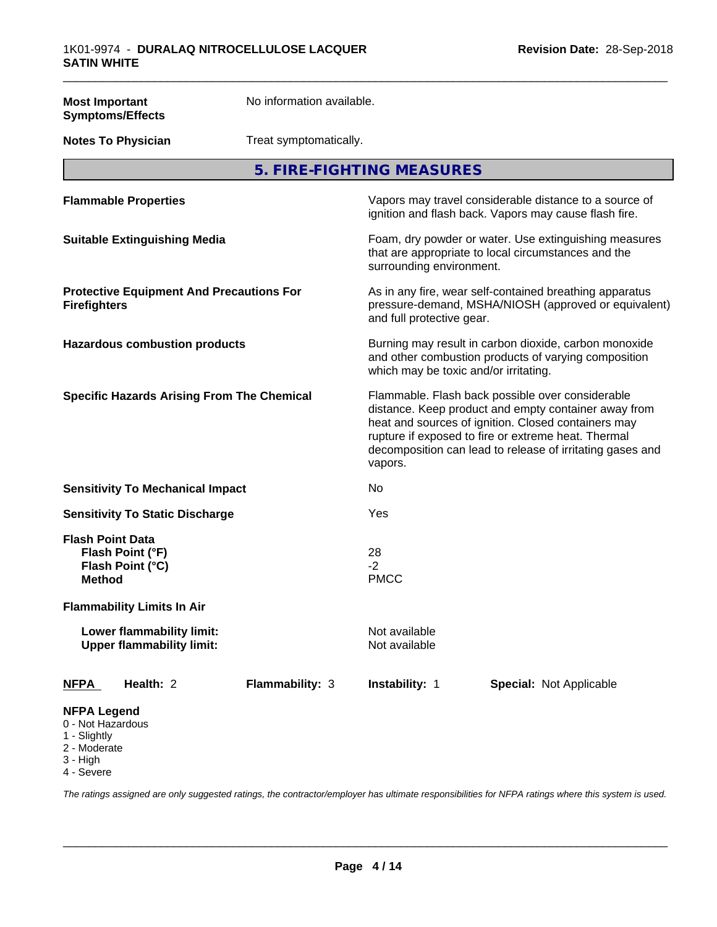| <b>Most Important</b>                                                               | <b>Symptoms/Effects</b>                                       | No information available. |                                       |                                                                                                                                                                                                                                                                                     |
|-------------------------------------------------------------------------------------|---------------------------------------------------------------|---------------------------|---------------------------------------|-------------------------------------------------------------------------------------------------------------------------------------------------------------------------------------------------------------------------------------------------------------------------------------|
|                                                                                     | Treat symptomatically.<br><b>Notes To Physician</b>           |                           |                                       |                                                                                                                                                                                                                                                                                     |
|                                                                                     |                                                               |                           | 5. FIRE-FIGHTING MEASURES             |                                                                                                                                                                                                                                                                                     |
|                                                                                     | <b>Flammable Properties</b>                                   |                           |                                       | Vapors may travel considerable distance to a source of<br>ignition and flash back. Vapors may cause flash fire.                                                                                                                                                                     |
|                                                                                     | <b>Suitable Extinguishing Media</b>                           |                           | surrounding environment.              | Foam, dry powder or water. Use extinguishing measures<br>that are appropriate to local circumstances and the                                                                                                                                                                        |
| <b>Firefighters</b>                                                                 | <b>Protective Equipment And Precautions For</b>               |                           | and full protective gear.             | As in any fire, wear self-contained breathing apparatus<br>pressure-demand, MSHA/NIOSH (approved or equivalent)                                                                                                                                                                     |
|                                                                                     | <b>Hazardous combustion products</b>                          |                           | which may be toxic and/or irritating. | Burning may result in carbon dioxide, carbon monoxide<br>and other combustion products of varying composition                                                                                                                                                                       |
|                                                                                     | <b>Specific Hazards Arising From The Chemical</b>             |                           | vapors.                               | Flammable. Flash back possible over considerable<br>distance. Keep product and empty container away from<br>heat and sources of ignition. Closed containers may<br>rupture if exposed to fire or extreme heat. Thermal<br>decomposition can lead to release of irritating gases and |
|                                                                                     | <b>Sensitivity To Mechanical Impact</b>                       |                           | No                                    |                                                                                                                                                                                                                                                                                     |
|                                                                                     | <b>Sensitivity To Static Discharge</b>                        |                           | Yes                                   |                                                                                                                                                                                                                                                                                     |
| <b>Flash Point Data</b><br><b>Method</b>                                            | Flash Point (°F)<br>Flash Point (°C)                          |                           | 28<br>$-2$<br><b>PMCC</b>             |                                                                                                                                                                                                                                                                                     |
|                                                                                     | <b>Flammability Limits In Air</b>                             |                           |                                       |                                                                                                                                                                                                                                                                                     |
|                                                                                     | Lower flammability limit:<br><b>Upper flammability limit:</b> |                           | Not available<br>Not available        |                                                                                                                                                                                                                                                                                     |
| <b>NFPA</b>                                                                         | Health: 2                                                     | Flammability: 3           | Instability: 1                        | Special: Not Applicable                                                                                                                                                                                                                                                             |
| <b>NFPA Legend</b><br>0 - Not Hazardous<br>1 - Slightly<br>2 - Moderate<br>3 - High |                                                               |                           |                                       |                                                                                                                                                                                                                                                                                     |

4 - Severe

*The ratings assigned are only suggested ratings, the contractor/employer has ultimate responsibilities for NFPA ratings where this system is used.*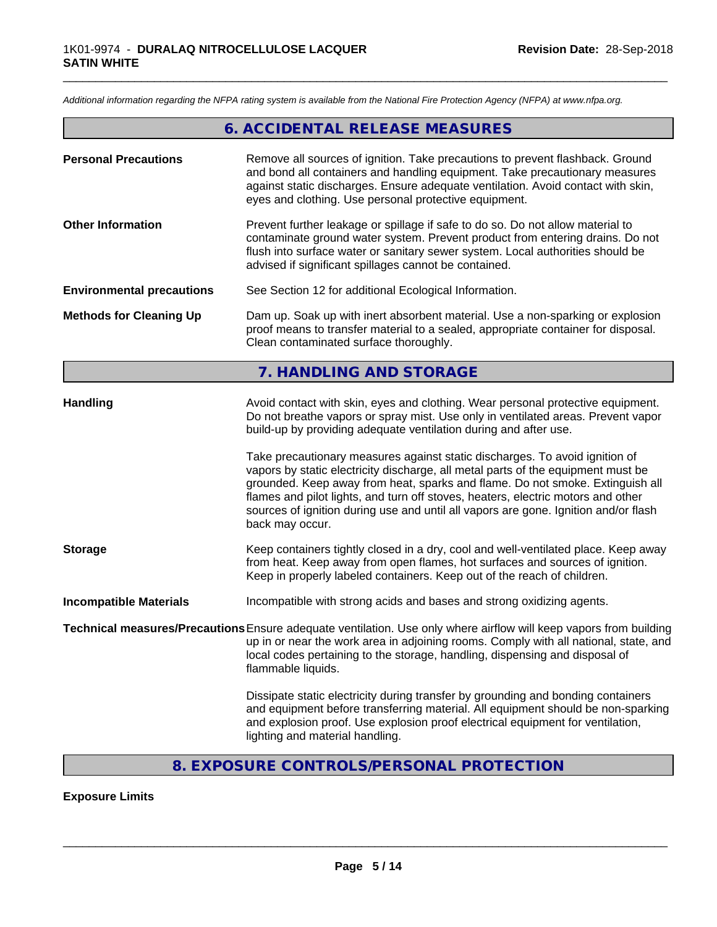*Additional information regarding the NFPA rating system is available from the National Fire Protection Agency (NFPA) at www.nfpa.org.*

# **6. ACCIDENTAL RELEASE MEASURES**

\_\_\_\_\_\_\_\_\_\_\_\_\_\_\_\_\_\_\_\_\_\_\_\_\_\_\_\_\_\_\_\_\_\_\_\_\_\_\_\_\_\_\_\_\_\_\_\_\_\_\_\_\_\_\_\_\_\_\_\_\_\_\_\_\_\_\_\_\_\_\_\_\_\_\_\_\_\_\_\_\_\_\_\_\_\_\_\_\_\_\_\_\_

| <b>Personal Precautions</b>      | Remove all sources of ignition. Take precautions to prevent flashback. Ground<br>and bond all containers and handling equipment. Take precautionary measures<br>against static discharges. Ensure adequate ventilation. Avoid contact with skin,<br>eyes and clothing. Use personal protective equipment.                                                                                                                                      |
|----------------------------------|------------------------------------------------------------------------------------------------------------------------------------------------------------------------------------------------------------------------------------------------------------------------------------------------------------------------------------------------------------------------------------------------------------------------------------------------|
| <b>Other Information</b>         | Prevent further leakage or spillage if safe to do so. Do not allow material to<br>contaminate ground water system. Prevent product from entering drains. Do not<br>flush into surface water or sanitary sewer system. Local authorities should be<br>advised if significant spillages cannot be contained.                                                                                                                                     |
| <b>Environmental precautions</b> | See Section 12 for additional Ecological Information.                                                                                                                                                                                                                                                                                                                                                                                          |
| <b>Methods for Cleaning Up</b>   | Dam up. Soak up with inert absorbent material. Use a non-sparking or explosion<br>proof means to transfer material to a sealed, appropriate container for disposal.<br>Clean contaminated surface thoroughly.                                                                                                                                                                                                                                  |
|                                  | 7. HANDLING AND STORAGE                                                                                                                                                                                                                                                                                                                                                                                                                        |
| <b>Handling</b>                  | Avoid contact with skin, eyes and clothing. Wear personal protective equipment.<br>Do not breathe vapors or spray mist. Use only in ventilated areas. Prevent vapor<br>build-up by providing adequate ventilation during and after use.                                                                                                                                                                                                        |
|                                  | Take precautionary measures against static discharges. To avoid ignition of<br>vapors by static electricity discharge, all metal parts of the equipment must be<br>grounded. Keep away from heat, sparks and flame. Do not smoke. Extinguish all<br>flames and pilot lights, and turn off stoves, heaters, electric motors and other<br>sources of ignition during use and until all vapors are gone. Ignition and/or flash<br>back may occur. |
| <b>Storage</b>                   | Keep containers tightly closed in a dry, cool and well-ventilated place. Keep away<br>from heat. Keep away from open flames, hot surfaces and sources of ignition.<br>Keep in properly labeled containers. Keep out of the reach of children.                                                                                                                                                                                                  |
| <b>Incompatible Materials</b>    | Incompatible with strong acids and bases and strong oxidizing agents.                                                                                                                                                                                                                                                                                                                                                                          |
|                                  | Technical measures/Precautions Ensure adequate ventilation. Use only where airflow will keep vapors from building<br>up in or near the work area in adjoining rooms. Comply with all national, state, and<br>local codes pertaining to the storage, handling, dispensing and disposal of<br>flammable liquids.                                                                                                                                 |
|                                  | Dissipate static electricity during transfer by grounding and bonding containers<br>and equipment before transferring material. All equipment should be non-sparking<br>and explosion proof. Use explosion proof electrical equipment for ventilation,<br>lighting and material handling.                                                                                                                                                      |

# **8. EXPOSURE CONTROLS/PERSONAL PROTECTION**

#### **Exposure Limits**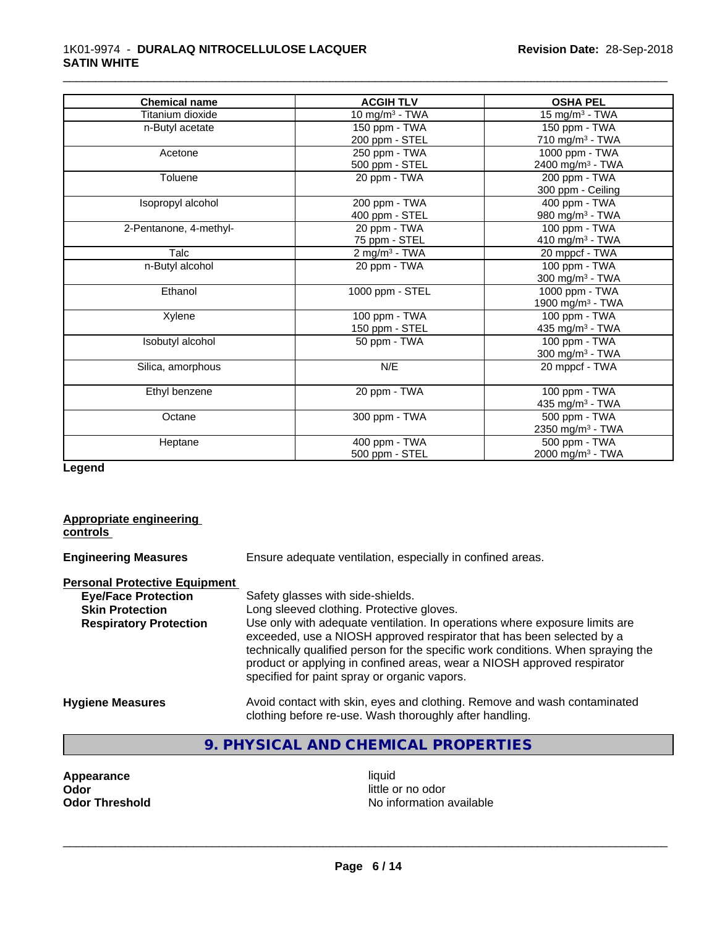#### 1K01-9974 - **DURALAQ NITROCELLULOSE LACQUER SATIN WHITE**

| <b>Chemical name</b>   | <b>ACGIH TLV</b>            | <b>OSHA PEL</b>              |
|------------------------|-----------------------------|------------------------------|
| Titanium dioxide       | 10 mg/m $3$ - TWA           | 15 mg/m $3$ - TWA            |
| n-Butyl acetate        | 150 ppm - TWA               | 150 ppm - TWA                |
|                        | 200 ppm - STEL              | 710 mg/m $3$ - TWA           |
| Acetone                | 250 ppm - TWA               | 1000 ppm - TWA               |
|                        | 500 ppm - STEL              | 2400 mg/m <sup>3</sup> - TWA |
| Toluene                | 20 ppm - TWA                | 200 ppm - TWA                |
|                        |                             | 300 ppm - Ceiling            |
| Isopropyl alcohol      | 200 ppm - TWA               | 400 ppm - TWA                |
|                        | 400 ppm - STEL              | 980 mg/m <sup>3</sup> - TWA  |
| 2-Pentanone, 4-methyl- | 20 ppm - TWA                | 100 ppm - TWA                |
|                        | 75 ppm - STEL               | 410 mg/m $3$ - TWA           |
| Talc                   | $2$ mg/m <sup>3</sup> - TWA | 20 mppcf - TWA               |
| n-Butyl alcohol        | 20 ppm - TWA                | 100 ppm - TWA                |
|                        |                             | 300 mg/m <sup>3</sup> - TWA  |
| Ethanol                | 1000 ppm - STEL             | 1000 ppm - TWA               |
|                        |                             | 1900 mg/m <sup>3</sup> - TWA |
| Xylene                 | 100 ppm - TWA               | 100 ppm - TWA                |
|                        | 150 ppm - STEL              | 435 mg/m <sup>3</sup> - TWA  |
| Isobutyl alcohol       | 50 ppm - TWA                | 100 ppm - TWA                |
|                        |                             | 300 mg/m <sup>3</sup> - TWA  |
| Silica, amorphous      | N/E                         | 20 mppcf - TWA               |
| Ethyl benzene          | 20 ppm - TWA                | 100 ppm - TWA                |
|                        |                             | 435 mg/m <sup>3</sup> - TWA  |
| Octane                 | 300 ppm - TWA               | 500 ppm - TWA                |
|                        |                             | 2350 mg/m <sup>3</sup> - TWA |
| Heptane                | 400 ppm - TWA               | 500 ppm - TWA                |
|                        | 500 ppm - STEL              | 2000 mg/m <sup>3</sup> - TWA |

\_\_\_\_\_\_\_\_\_\_\_\_\_\_\_\_\_\_\_\_\_\_\_\_\_\_\_\_\_\_\_\_\_\_\_\_\_\_\_\_\_\_\_\_\_\_\_\_\_\_\_\_\_\_\_\_\_\_\_\_\_\_\_\_\_\_\_\_\_\_\_\_\_\_\_\_\_\_\_\_\_\_\_\_\_\_\_\_\_\_\_\_\_

**Legend**

# **Appropriate engineering controls Engineering Measures** Ensure adequate ventilation, especially in confined areas. **Personal Protective Equipment**<br> **Eve/Face Protection** Safety glasses with side-shields. **Skin Protection** Long sleeved clothing. Protective gloves. **Respiratory Protection** Use only with adequate ventilation. In operations where exposure limits are exceeded, use a NIOSH approved respirator that has been selected by a technically qualified person for the specific work conditions. When spraying the product or applying in confined areas, wear a NIOSH approved respirator specified for paint spray or organic vapors. **Hygiene Measures** Avoid contact with skin, eyes and clothing. Remove and wash contaminated clothing before re-use. Wash thoroughly after handling.

# **9. PHYSICAL AND CHEMICAL PROPERTIES**

**Appearance** liquid<br> **Appearance** liquid<br> **Odor** little c **Odor** little or no odor

**No information available**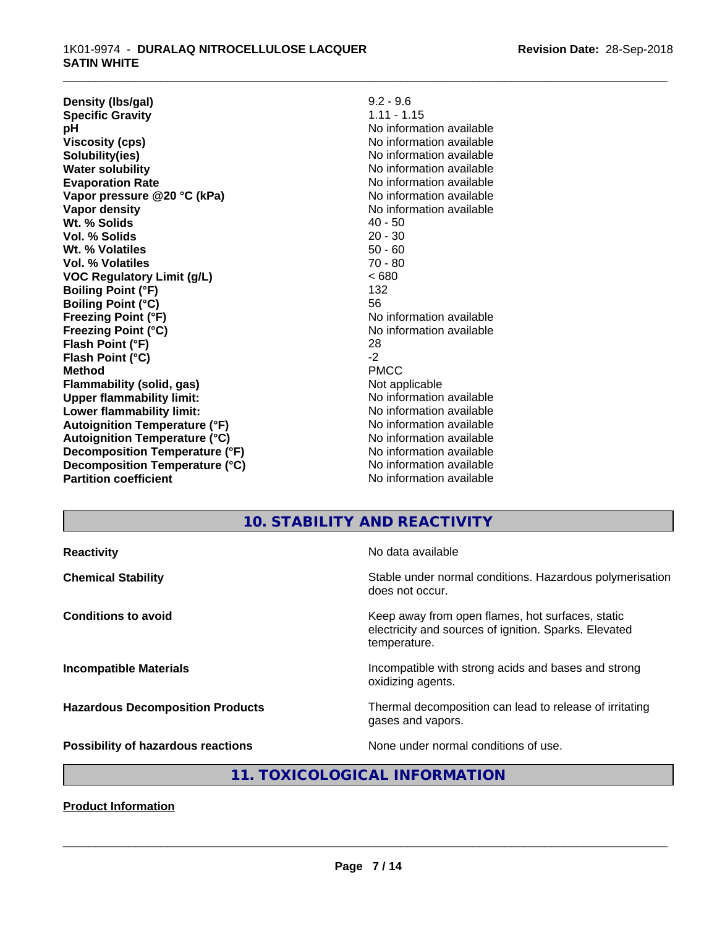| Density (Ibs/gal)                    | $9.2 - 9.6$              |
|--------------------------------------|--------------------------|
| <b>Specific Gravity</b>              | $1.11 - 1.15$            |
| рH                                   | No information available |
| <b>Viscosity (cps)</b>               | No information available |
| Solubility(ies)                      | No information available |
| <b>Water solubility</b>              | No information available |
| <b>Evaporation Rate</b>              | No information available |
| Vapor pressure @20 °C (kPa)          | No information available |
| Vapor density                        | No information available |
| Wt. % Solids                         | $40 - 50$                |
| Vol. % Solids                        | $20 - 30$                |
| Wt. % Volatiles                      | $50 - 60$                |
| <b>Vol. % Volatiles</b>              | $70 - 80$                |
| <b>VOC Regulatory Limit (g/L)</b>    | <680                     |
| <b>Boiling Point (°F)</b>            | 132                      |
| <b>Boiling Point (°C)</b>            | 56                       |
| <b>Freezing Point (°F)</b>           | No information available |
| <b>Freezing Point (°C)</b>           | No information available |
| Flash Point (°F)                     | 28                       |
| Flash Point (°C)                     | $-2$                     |
| <b>Method</b>                        | <b>PMCC</b>              |
| Flammability (solid, gas)            | Not applicable           |
| <b>Upper flammability limit:</b>     | No information available |
| Lower flammability limit:            | No information available |
| <b>Autoignition Temperature (°F)</b> | No information available |
| <b>Autoignition Temperature (°C)</b> | No information available |
| Decomposition Temperature (°F)       | No information available |
| Decomposition Temperature (°C)       | No information available |
| <b>Partition coefficient</b>         | No information available |

\_\_\_\_\_\_\_\_\_\_\_\_\_\_\_\_\_\_\_\_\_\_\_\_\_\_\_\_\_\_\_\_\_\_\_\_\_\_\_\_\_\_\_\_\_\_\_\_\_\_\_\_\_\_\_\_\_\_\_\_\_\_\_\_\_\_\_\_\_\_\_\_\_\_\_\_\_\_\_\_\_\_\_\_\_\_\_\_\_\_\_\_\_

# **10. STABILITY AND REACTIVITY**

| No data available<br>Stable under normal conditions. Hazardous polymerisation<br>does not occur.<br>Keep away from open flames, hot surfaces, static<br>electricity and sources of ignition. Sparks. Elevated<br>temperature.<br>Incompatible with strong acids and bases and strong<br>oxidizing agents.<br>Thermal decomposition can lead to release of irritating<br>gases and vapors.<br>None under normal conditions of use. |                                           |  |
|-----------------------------------------------------------------------------------------------------------------------------------------------------------------------------------------------------------------------------------------------------------------------------------------------------------------------------------------------------------------------------------------------------------------------------------|-------------------------------------------|--|
|                                                                                                                                                                                                                                                                                                                                                                                                                                   | <b>Reactivity</b>                         |  |
|                                                                                                                                                                                                                                                                                                                                                                                                                                   | <b>Chemical Stability</b>                 |  |
|                                                                                                                                                                                                                                                                                                                                                                                                                                   | <b>Conditions to avoid</b>                |  |
|                                                                                                                                                                                                                                                                                                                                                                                                                                   | <b>Incompatible Materials</b>             |  |
|                                                                                                                                                                                                                                                                                                                                                                                                                                   | <b>Hazardous Decomposition Products</b>   |  |
|                                                                                                                                                                                                                                                                                                                                                                                                                                   | <b>Possibility of hazardous reactions</b> |  |

# **11. TOXICOLOGICAL INFORMATION**

**Product Information**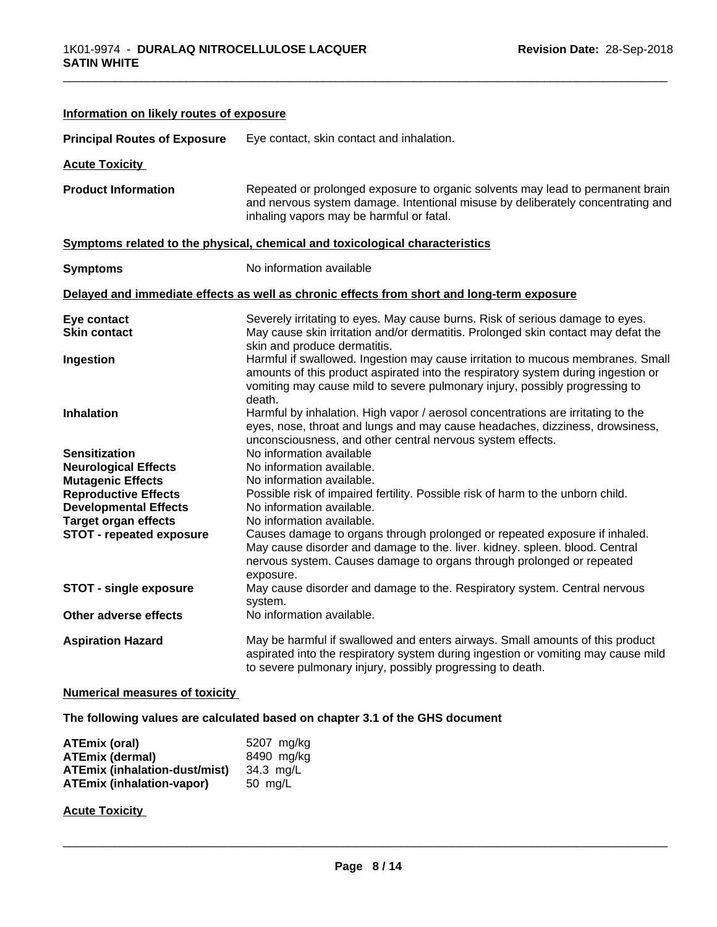| Information on likely routes of exposure |                                                                                                                                                                                                                                                               |
|------------------------------------------|---------------------------------------------------------------------------------------------------------------------------------------------------------------------------------------------------------------------------------------------------------------|
| <b>Principal Routes of Exposure</b>      | Eye contact, skin contact and inhalation.                                                                                                                                                                                                                     |
| <b>Acute Toxicity</b>                    |                                                                                                                                                                                                                                                               |
| <b>Product Information</b>               | Repeated or prolonged exposure to organic solvents may lead to permanent brain<br>and nervous system damage. Intentional misuse by deliberately concentrating and<br>inhaling vapors may be harmful or fatal.                                                 |
|                                          | Symptoms related to the physical, chemical and toxicological characteristics                                                                                                                                                                                  |
| <b>Symptoms</b>                          | No information available                                                                                                                                                                                                                                      |
|                                          | Delayed and immediate effects as well as chronic effects from short and long-term exposure                                                                                                                                                                    |
| Eye contact                              | Severely irritating to eyes. May cause burns. Risk of serious damage to eyes.                                                                                                                                                                                 |
| <b>Skin contact</b>                      | May cause skin irritation and/or dermatitis. Prolonged skin contact may defat the<br>skin and produce dermatitis.                                                                                                                                             |
| Ingestion                                | Harmful if swallowed. Ingestion may cause irritation to mucous membranes. Small<br>amounts of this product aspirated into the respiratory system during ingestion or<br>vomiting may cause mild to severe pulmonary injury, possibly progressing to<br>death. |
| <b>Inhalation</b>                        | Harmful by inhalation. High vapor / aerosol concentrations are irritating to the<br>eyes, nose, throat and lungs and may cause headaches, dizziness, drowsiness,<br>unconsciousness, and other central nervous system effects.                                |
| <b>Sensitization</b>                     | No information available                                                                                                                                                                                                                                      |
| <b>Neurological Effects</b>              | No information available.                                                                                                                                                                                                                                     |
| <b>Mutagenic Effects</b>                 | No information available.                                                                                                                                                                                                                                     |
| <b>Reproductive Effects</b>              | Possible risk of impaired fertility. Possible risk of harm to the unborn child.                                                                                                                                                                               |
| <b>Developmental Effects</b>             | No information available.                                                                                                                                                                                                                                     |
| <b>Target organ effects</b>              | No information available.                                                                                                                                                                                                                                     |
| <b>STOT - repeated exposure</b>          | Causes damage to organs through prolonged or repeated exposure if inhaled.<br>May cause disorder and damage to the. liver. kidney. spleen. blood. Central<br>nervous system. Causes damage to organs through prolonged or repeated<br>exposure.               |
| <b>STOT - single exposure</b>            | May cause disorder and damage to the. Respiratory system. Central nervous<br>system.                                                                                                                                                                          |
| Other adverse effects                    | No information available.                                                                                                                                                                                                                                     |
| <b>Aspiration Hazard</b>                 | May be harmful if swallowed and enters airways. Small amounts of this product<br>aspirated into the respiratory system during ingestion or vomiting may cause mild<br>to severe pulmonary injury, possibly progressing to death.                              |

#### **Numerical measures of toxicity**

**The following values are calculated based on chapter 3.1 of the GHS document**

| ATEmix (oral)                    | 5207 mg/kg |
|----------------------------------|------------|
| <b>ATEmix (dermal)</b>           | 8490 mg/kg |
| ATEmix (inhalation-dust/mist)    | 34.3 ma/L  |
| <b>ATEmix (inhalation-vapor)</b> | 50 mg/L    |

**Acute Toxicity**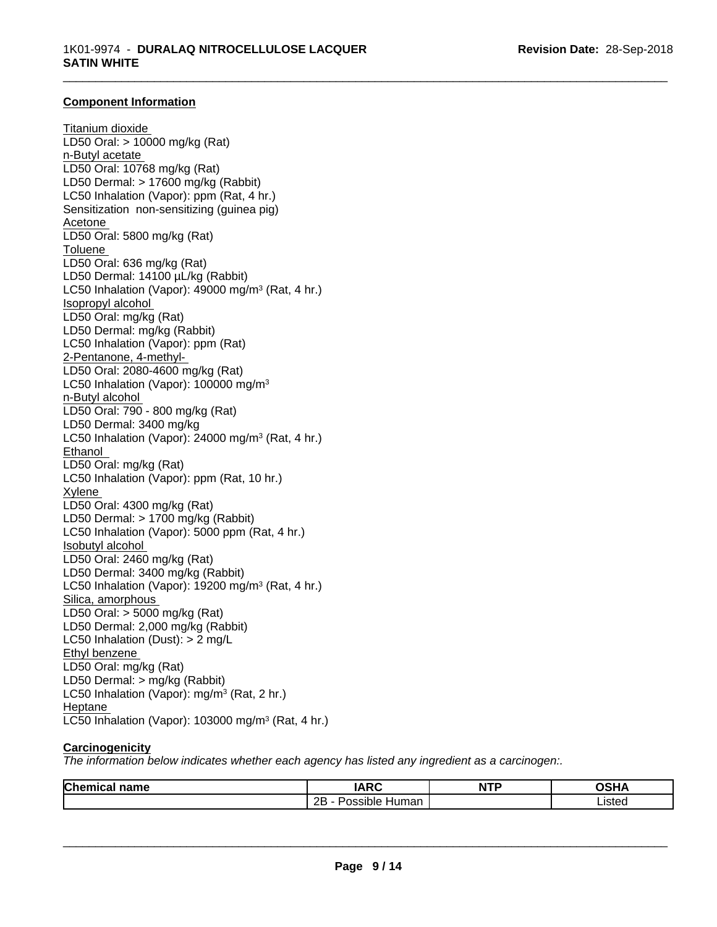\_\_\_\_\_\_\_\_\_\_\_\_\_\_\_\_\_\_\_\_\_\_\_\_\_\_\_\_\_\_\_\_\_\_\_\_\_\_\_\_\_\_\_\_\_\_\_\_\_\_\_\_\_\_\_\_\_\_\_\_\_\_\_\_\_\_\_\_\_\_\_\_\_\_\_\_\_\_\_\_\_\_\_\_\_\_\_\_\_\_\_\_\_

#### **Component Information**

Titanium dioxide LD50 Oral: > 10000 mg/kg (Rat) n-Butyl acetate LD50 Oral: 10768 mg/kg (Rat) LD50 Dermal: > 17600 mg/kg (Rabbit) LC50 Inhalation (Vapor): ppm (Rat, 4 hr.) Sensitization non-sensitizing (guinea pig) Acetone LD50 Oral: 5800 mg/kg (Rat) Toluene LD50 Oral: 636 mg/kg (Rat) LD50 Dermal: 14100 µL/kg (Rabbit) LC50 Inhalation (Vapor): 49000 mg/m<sup>3</sup> (Rat, 4 hr.) Isopropyl alcohol LD50 Oral: mg/kg (Rat) LD50 Dermal: mg/kg (Rabbit) LC50 Inhalation (Vapor): ppm (Rat) 2-Pentanone, 4-methyl-LD50 Oral: 2080-4600 mg/kg (Rat) LC50 Inhalation (Vapor): 100000 mg/m<sup>3</sup> n-Butyl alcohol LD50 Oral: 790 - 800 mg/kg (Rat) LD50 Dermal: 3400 mg/kg LC50 Inhalation (Vapor): 24000 mg/m<sup>3</sup> (Rat, 4 hr.) Ethanol LD50 Oral: mg/kg (Rat) LC50 Inhalation (Vapor): ppm (Rat, 10 hr.) Xylene LD50 Oral: 4300 mg/kg (Rat) LD50 Dermal: > 1700 mg/kg (Rabbit) LC50 Inhalation (Vapor): 5000 ppm (Rat, 4 hr.) Isobutyl alcohol LD50 Oral: 2460 mg/kg (Rat) LD50 Dermal: 3400 mg/kg (Rabbit) LC50 Inhalation (Vapor): 19200 mg/m<sup>3</sup> (Rat, 4 hr.) Silica, amorphous LD50 Oral: > 5000 mg/kg (Rat) LD50 Dermal: 2,000 mg/kg (Rabbit) LC50 Inhalation (Dust): > 2 mg/L Ethyl benzene LD50 Oral: mg/kg (Rat) LD50 Dermal: > mg/kg (Rabbit) LC50 Inhalation (Vapor): mg/m<sup>3</sup> (Rat, 2 hr.) Heptane LC50 Inhalation (Vapor): 103000 mg/m<sup>3</sup> (Rat, 4 hr.)

#### **Carcinogenicity**

*The information below indicateswhether each agency has listed any ingredient as a carcinogen:.*

| Chemica | <b>IARC</b>                 | NTD | <b>OCUM</b>      |
|---------|-----------------------------|-----|------------------|
| name    |                             | M.  |                  |
| ньаг    |                             | .   | . . <i>.</i>     |
|         | <br>2B<br>'ossible<br>Human |     | leftor<br>LISICU |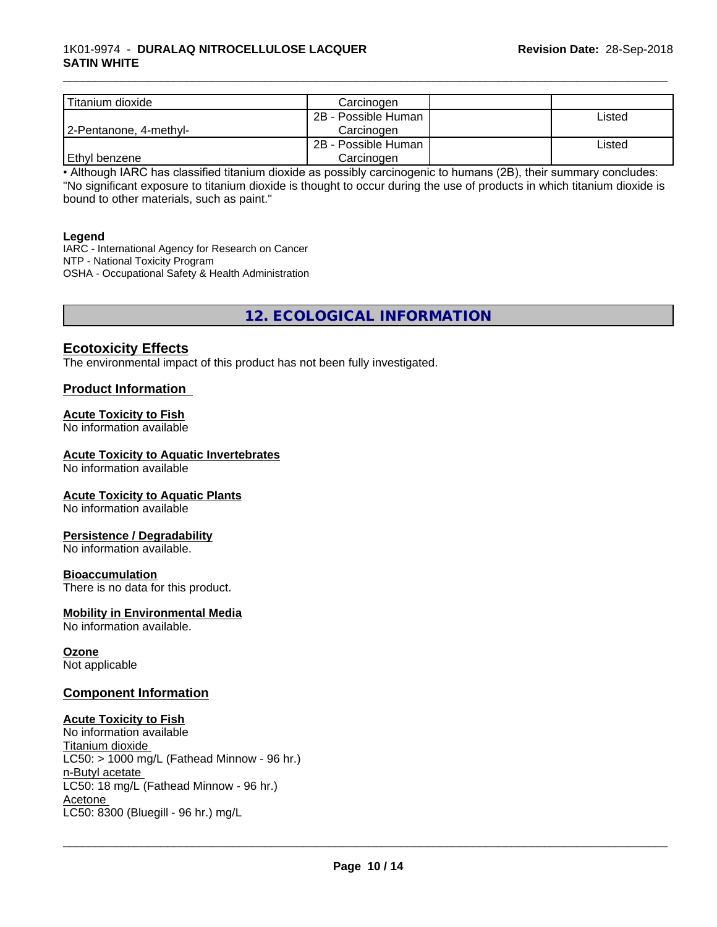#### 1K01-9974 - **DURALAQ NITROCELLULOSE LACQUER SATIN WHITE**

| Titanium dioxide       | Carcinoɑen          |        |
|------------------------|---------------------|--------|
|                        | 2B - Possible Human | ∟isted |
| 2-Pentanone, 4-methyl- | Carcinogen          |        |
|                        | 2B - Possible Human | ∟isted |
| l Ethvl benzene        | Carcinogen          |        |

\_\_\_\_\_\_\_\_\_\_\_\_\_\_\_\_\_\_\_\_\_\_\_\_\_\_\_\_\_\_\_\_\_\_\_\_\_\_\_\_\_\_\_\_\_\_\_\_\_\_\_\_\_\_\_\_\_\_\_\_\_\_\_\_\_\_\_\_\_\_\_\_\_\_\_\_\_\_\_\_\_\_\_\_\_\_\_\_\_\_\_\_\_

• Although IARC has classified titanium dioxide as possibly carcinogenic to humans (2B), their summary concludes: "No significant exposure to titanium dioxide is thought to occur during the use of products in which titanium dioxide is bound to other materials, such as paint."

#### **Legend**

IARC - International Agency for Research on Cancer NTP - National Toxicity Program OSHA - Occupational Safety & Health Administration

# **12. ECOLOGICAL INFORMATION**

#### **Ecotoxicity Effects**

The environmental impact of this product has not been fully investigated.

#### **Product Information**

#### **Acute Toxicity to Fish**

No information available

#### **Acute Toxicity to Aquatic Invertebrates**

No information available

#### **Acute Toxicity to Aquatic Plants**

No information available

#### **Persistence / Degradability**

No information available.

#### **Bioaccumulation**

There is no data for this product.

#### **Mobility in Environmental Media**

No information available.

#### **Ozone**

Not applicable

#### **Component Information**

#### **Acute Toxicity to Fish**

No information available Titanium dioxide  $LCS0:$  > 1000 mg/L (Fathead Minnow - 96 hr.) n-Butyl acetate LC50: 18 mg/L (Fathead Minnow - 96 hr.) Acetone \_\_\_\_\_\_\_\_\_\_\_\_\_\_\_\_\_\_\_\_\_\_\_\_\_\_\_\_\_\_\_\_\_\_\_\_\_\_\_\_\_\_\_\_\_\_\_\_\_\_\_\_\_\_\_\_\_\_\_\_\_\_\_\_\_\_\_\_\_\_\_\_\_\_\_\_\_\_\_\_\_\_\_\_\_\_\_\_\_\_\_\_\_ LC50: 8300 (Bluegill - 96 hr.) mg/L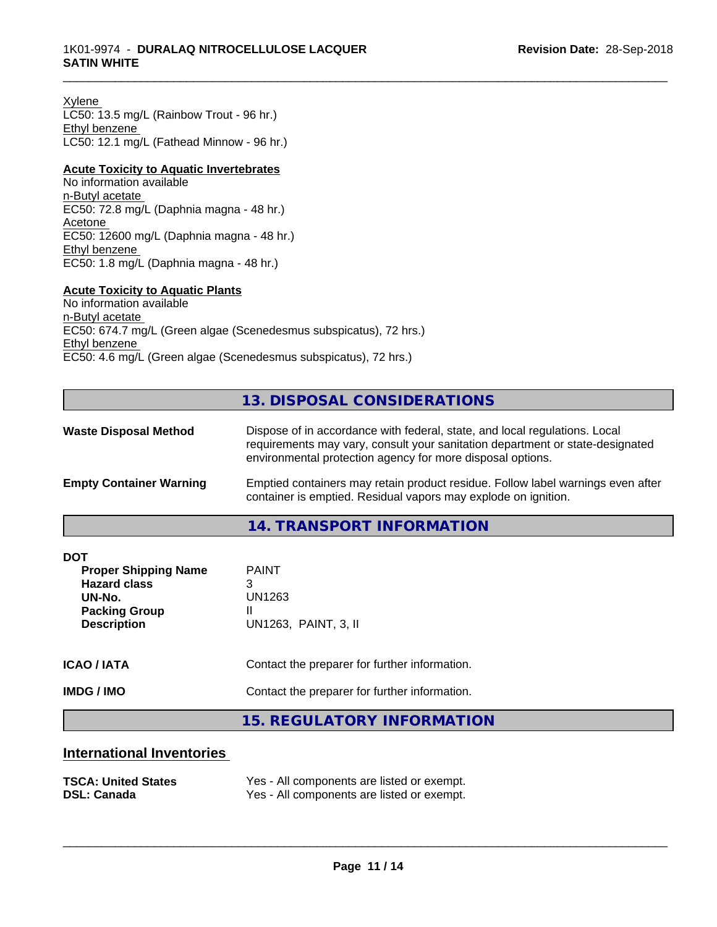Xylene LC50: 13.5 mg/L (Rainbow Trout - 96 hr.) Ethyl benzene LC50: 12.1 mg/L (Fathead Minnow - 96 hr.)

#### **Acute Toxicity to Aquatic Invertebrates**

No information available n-Butyl acetate EC50: 72.8 mg/L (Daphnia magna - 48 hr.) Acetone EC50: 12600 mg/L (Daphnia magna - 48 hr.) Ethyl benzene EC50: 1.8 mg/L (Daphnia magna - 48 hr.)

#### **Acute Toxicity to Aquatic Plants**

No information available n-Butyl acetate EC50: 674.7 mg/L (Green algae (Scenedesmus subspicatus), 72 hrs.) Ethyl benzene EC50: 4.6 mg/L (Green algae (Scenedesmus subspicatus), 72 hrs.)

# **13. DISPOSAL CONSIDERATIONS**

| <b>Waste Disposal Method</b>   | Dispose of in accordance with federal, state, and local regulations. Local<br>requirements may vary, consult your sanitation department or state-designated<br>environmental protection agency for more disposal options. |  |
|--------------------------------|---------------------------------------------------------------------------------------------------------------------------------------------------------------------------------------------------------------------------|--|
| <b>Empty Container Warning</b> | Emptied containers may retain product residue. Follow label warnings even after<br>container is emptied. Residual vapors may explode on ignition.                                                                         |  |
|                                | 14. TRANSPORT INFORMATION                                                                                                                                                                                                 |  |

| <b>DOT</b><br><b>Proper Shipping Name</b><br><b>Hazard class</b><br>UN-No.<br><b>Packing Group</b><br><b>Description</b> | <b>PAINT</b><br>3<br>UN1263<br>Ш<br>UN1263, PAINT, 3, II |
|--------------------------------------------------------------------------------------------------------------------------|----------------------------------------------------------|
| <b>ICAO/IATA</b>                                                                                                         | Contact the preparer for further information.            |
| <b>IMDG/IMO</b>                                                                                                          | Contact the preparer for further information.            |
|                                                                                                                          | 15 DECHLATODY INFODIAATION                               |

#### **15. REGULATORY INFORMATION**

# **International Inventories**

| <b>TSCA: United States</b> | Yes - All components are listed or exempt. |
|----------------------------|--------------------------------------------|
| <b>DSL: Canada</b>         | Yes - All components are listed or exempt. |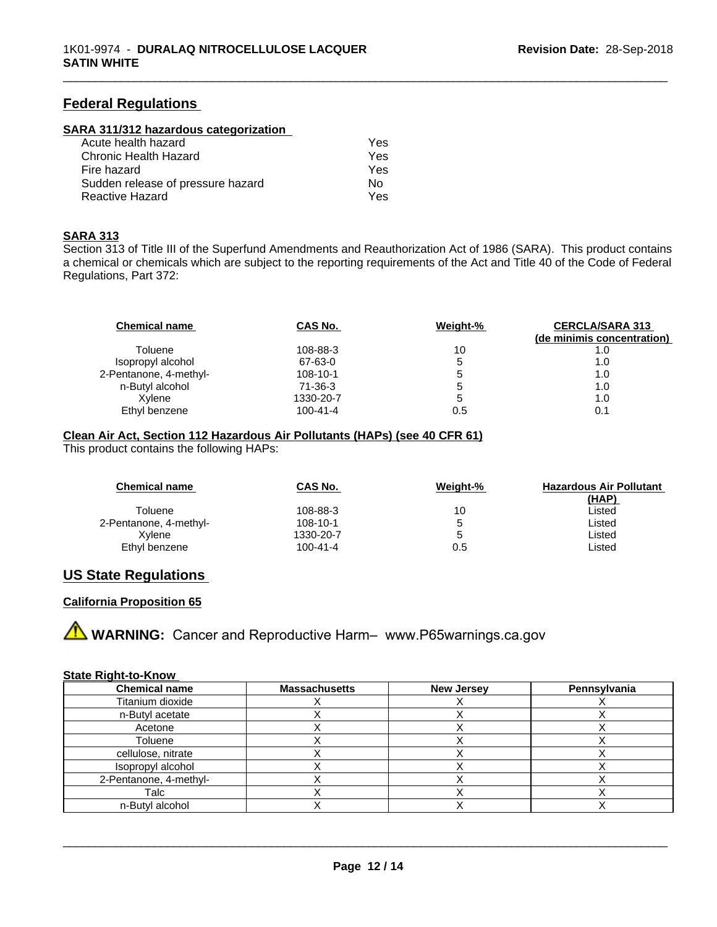# **Federal Regulations**

#### **SARA 311/312 hazardous categorization**

| Acute health hazard               | Yes |  |
|-----------------------------------|-----|--|
| Chronic Health Hazard             | Yes |  |
| Fire hazard                       | Yes |  |
| Sudden release of pressure hazard | N٥  |  |
| Reactive Hazard                   | Yes |  |

#### **SARA 313**

Section 313 of Title III of the Superfund Amendments and Reauthorization Act of 1986 (SARA). This product contains a chemical or chemicals which are subject to the reporting requirements of the Act and Title 40 of the Code of Federal Regulations, Part 372:

\_\_\_\_\_\_\_\_\_\_\_\_\_\_\_\_\_\_\_\_\_\_\_\_\_\_\_\_\_\_\_\_\_\_\_\_\_\_\_\_\_\_\_\_\_\_\_\_\_\_\_\_\_\_\_\_\_\_\_\_\_\_\_\_\_\_\_\_\_\_\_\_\_\_\_\_\_\_\_\_\_\_\_\_\_\_\_\_\_\_\_\_\_

| <b>Chemical name</b>   | CAS No.        | Weight-% | <b>CERCLA/SARA 313</b><br>(de minimis concentration) |
|------------------------|----------------|----------|------------------------------------------------------|
| Toluene                | 108-88-3       | 10       | 1.0                                                  |
| Isopropyl alcohol      | 67-63-0        | 5        | 1.0                                                  |
| 2-Pentanone, 4-methyl- | $108 - 10 - 1$ | b        | 1.0                                                  |
| n-Butyl alcohol        | 71-36-3        | 5        | 1.0                                                  |
| Xvlene                 | 1330-20-7      | 5        | 1.0                                                  |
| Ethyl benzene          | $100 - 41 - 4$ | 0.5      | 0.1                                                  |

#### **Clean Air Act,Section 112 Hazardous Air Pollutants (HAPs) (see 40 CFR 61)**

This product contains the following HAPs:

| <b>Chemical name</b>   | CAS No.        | Weight-% | <b>Hazardous Air Pollutant</b> |
|------------------------|----------------|----------|--------------------------------|
|                        |                |          | (HAP)                          |
| Toluene                | 108-88-3       | 10       | ∟isted                         |
| 2-Pentanone, 4-methyl- | 108-10-1       |          | ∟isted                         |
| Xvlene                 | 1330-20-7      |          | ∟isted                         |
| Ethyl benzene          | $100 - 41 - 4$ | 0.5      | Listed                         |

# **US State Regulations**

#### **California Proposition 65**

**A WARNING:** Cancer and Reproductive Harm– www.P65warnings.ca.gov

#### **State Right-to-Know**

| <b>Chemical name</b>   | <b>Massachusetts</b> | <b>New Jersey</b> | Pennsylvania |
|------------------------|----------------------|-------------------|--------------|
| Titanium dioxide       |                      |                   |              |
| n-Butyl acetate        |                      |                   |              |
| Acetone                |                      |                   |              |
| Toluene                |                      |                   |              |
| cellulose, nitrate     |                      |                   |              |
| Isopropyl alcohol      |                      |                   |              |
| 2-Pentanone, 4-methyl- |                      |                   |              |
| Talc                   |                      |                   |              |
| n-Butyl alcohol        |                      |                   |              |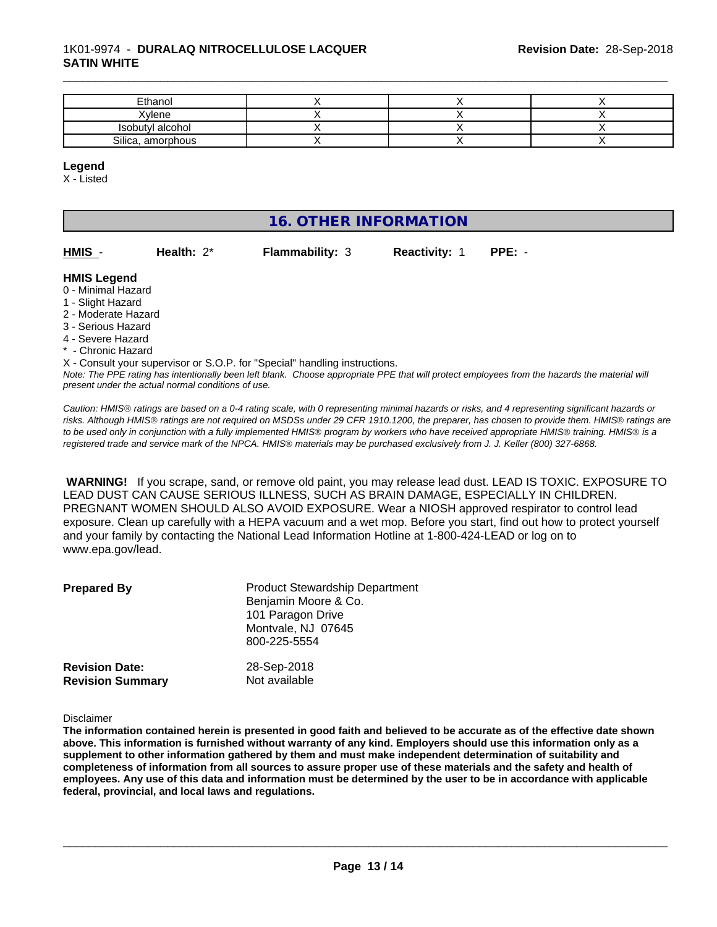#### 1K01-9974 - **DURALAQ NITROCELLULOSE LACQUER SATIN WHITE**

| Ethanol           |  |  |
|-------------------|--|--|
| Xvlene            |  |  |
| Isobutyl alcohol  |  |  |
| Silica, amorphous |  |  |

\_\_\_\_\_\_\_\_\_\_\_\_\_\_\_\_\_\_\_\_\_\_\_\_\_\_\_\_\_\_\_\_\_\_\_\_\_\_\_\_\_\_\_\_\_\_\_\_\_\_\_\_\_\_\_\_\_\_\_\_\_\_\_\_\_\_\_\_\_\_\_\_\_\_\_\_\_\_\_\_\_\_\_\_\_\_\_\_\_\_\_\_\_

#### **Legend**

X - Listed

# **16. OTHER INFORMATION**

| HMIS | Health: $2^*$ | <b>Flammability: 3</b> | <b>Reactivity: 1</b> | PPE: - |
|------|---------------|------------------------|----------------------|--------|

#### **HMIS Legend**

- 0 Minimal Hazard
- 1 Slight Hazard
- 2 Moderate Hazard
- 3 Serious Hazard
- 4 Severe Hazard
- \* Chronic Hazard

*Note: The PPE rating has intentionally been left blank. Choose appropriate PPE that will protect employees from the hazards the material will* X - Consult your supervisor or S.O.P. for "Special" handling instructions.

*present under the actual normal conditions of use.*

*Caution: HMISÒ ratings are based on a 0-4 rating scale, with 0 representing minimal hazards or risks, and 4 representing significant hazards or risks. Although HMISÒ ratings are not required on MSDSs under 29 CFR 1910.1200, the preparer, has chosen to provide them. HMISÒ ratings are to be used only in conjunction with a fully implemented HMISÒ program by workers who have received appropriate HMISÒ training. HMISÒ is a registered trade and service mark of the NPCA. HMISÒ materials may be purchased exclusively from J. J. Keller (800) 327-6868.*

 **WARNING!** If you scrape, sand, or remove old paint, you may release lead dust. LEAD IS TOXIC. EXPOSURE TO LEAD DUST CAN CAUSE SERIOUS ILLNESS, SUCH AS BRAIN DAMAGE, ESPECIALLY IN CHILDREN. PREGNANT WOMEN SHOULD ALSO AVOID EXPOSURE. Wear a NIOSH approved respirator to control lead exposure. Clean up carefully with a HEPA vacuum and a wet mop. Before you start, find out how to protect yourself and your family by contacting the National Lead Information Hotline at 1-800-424-LEAD or log on to www.epa.gov/lead.

| <b>Prepared By</b>                               | <b>Product Stewardship Department</b><br>Benjamin Moore & Co.<br>101 Paragon Drive<br>Montvale, NJ 07645<br>800-225-5554 |  |
|--------------------------------------------------|--------------------------------------------------------------------------------------------------------------------------|--|
| <b>Revision Date:</b><br><b>Revision Summary</b> | 28-Sep-2018<br>Not available                                                                                             |  |

Disclaimer

The information contained herein is presented in good faith and believed to be accurate as of the effective date shown above. This information is furnished without warranty of any kind. Employers should use this information only as a **supplement to other information gathered by them and must make independent determination of suitability and** completeness of information from all sources to assure proper use of these materials and the safety and health of employees. Any use of this data and information must be determined by the user to be in accordance with applicable **federal, provincial, and local laws and regulations.**